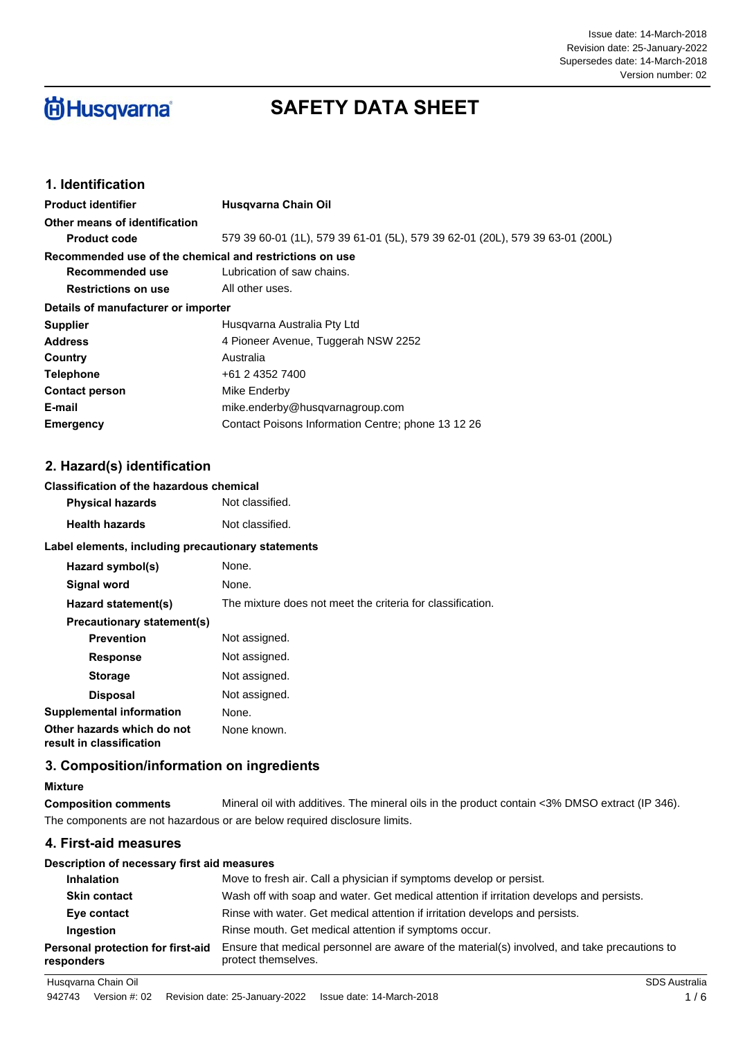#### Issue date: 14-March-2018 Supersedes date: 14-March-2018 Revision date: 25-January-2022 Version number: 02

# **尚Husqvarna**

## **SAFETY DATA SHEET**

## **1. Identification**

| <b>Product identifier</b>                               | Husgvarna Chain Oil                                                           |
|---------------------------------------------------------|-------------------------------------------------------------------------------|
| Other means of identification                           |                                                                               |
| <b>Product code</b>                                     | 579 39 60-01 (1L), 579 39 61-01 (5L), 579 39 62-01 (20L), 579 39 63-01 (200L) |
| Recommended use of the chemical and restrictions on use |                                                                               |
| Recommended use                                         | Lubrication of saw chains.                                                    |
| <b>Restrictions on use</b>                              | All other uses.                                                               |
| Details of manufacturer or importer                     |                                                                               |
| <b>Supplier</b>                                         | Husgvarna Australia Pty Ltd                                                   |
| <b>Address</b>                                          | 4 Pioneer Avenue, Tuggerah NSW 2252                                           |
| Country                                                 | Australia                                                                     |
| <b>Telephone</b>                                        | +61 2 4352 7400                                                               |
| <b>Contact person</b>                                   | Mike Enderby                                                                  |
| E-mail                                                  | mike.enderby@husqvarnagroup.com                                               |
| Emergency                                               | Contact Poisons Information Centre; phone 13 12 26                            |

## **2. Hazard(s) identification**

## **Classification of the hazardous chemical**

| <b>Physical hazards</b> | Not classified. |
|-------------------------|-----------------|
| <b>Health hazards</b>   | Not classified. |

#### **Label elements, including precautionary statements**

| Hazard symbol(s)                                       | None.                                                      |
|--------------------------------------------------------|------------------------------------------------------------|
| Signal word                                            | None.                                                      |
| Hazard statement(s)                                    | The mixture does not meet the criteria for classification. |
| Precautionary statement(s)                             |                                                            |
| <b>Prevention</b>                                      | Not assigned.                                              |
| <b>Response</b>                                        | Not assigned.                                              |
| <b>Storage</b>                                         | Not assigned.                                              |
| <b>Disposal</b>                                        | Not assigned.                                              |
| Supplemental information                               | None.                                                      |
| Other hazards which do not<br>result in classification | None known.                                                |

## **3. Composition/information on ingredients**

## **Mixture**

**Composition comments** Mineral oil with additives. The mineral oils in the product contain <3% DMSO extract (IP 346). The components are not hazardous or are below required disclosure limits.

## **4. First-aid measures**

| Description of necessary first aid measures     |                                                                                                                     |
|-------------------------------------------------|---------------------------------------------------------------------------------------------------------------------|
| <b>Inhalation</b>                               | Move to fresh air. Call a physician if symptoms develop or persist.                                                 |
| <b>Skin contact</b>                             | Wash off with soap and water. Get medical attention if irritation develops and persists.                            |
| Eye contact                                     | Rinse with water. Get medical attention if irritation develops and persists.                                        |
| Ingestion                                       | Rinse mouth. Get medical attention if symptoms occur.                                                               |
| Personal protection for first-aid<br>responders | Ensure that medical personnel are aware of the material(s) involved, and take precautions to<br>protect themselves. |
| Husqvarna Chain Oil                             | <b>SDS Australia</b>                                                                                                |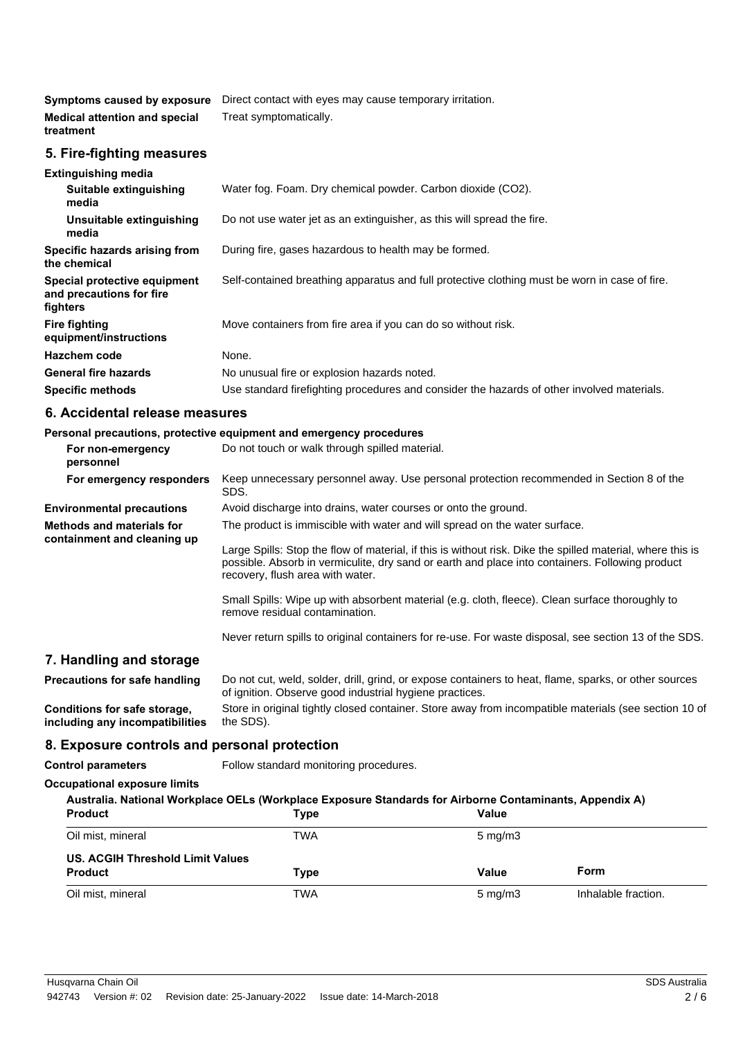**Symptoms caused by exposure** Direct contact with eyes may cause temporary irritation. **Medical attention and special** Treat symptomatically. **treatment**

### **5. Fire-fighting measures**

| <b>Extinguishing media</b>                                           |                                                                                               |
|----------------------------------------------------------------------|-----------------------------------------------------------------------------------------------|
| Suitable extinguishing<br>media                                      | Water fog. Foam. Dry chemical powder. Carbon dioxide (CO2).                                   |
| Unsuitable extinguishing<br>media                                    | Do not use water jet as an extinguisher, as this will spread the fire.                        |
| Specific hazards arising from<br>the chemical                        | During fire, gases hazardous to health may be formed.                                         |
| Special protective equipment<br>and precautions for fire<br>fighters | Self-contained breathing apparatus and full protective clothing must be worn in case of fire. |
| <b>Fire fighting</b><br>equipment/instructions                       | Move containers from fire area if you can do so without risk.                                 |
| Hazchem code                                                         | None.                                                                                         |
| <b>General fire hazards</b>                                          | No unusual fire or explosion hazards noted.                                                   |
| <b>Specific methods</b>                                              | Use standard firefighting procedures and consider the hazards of other involved materials.    |

## **6. Accidental release measures**

#### **Personal precautions, protective equipment and emergency procedures**

| For non-emergency<br>personnel                                  | Do not touch or walk through spilled material.                                                                                                                                                                                                    |
|-----------------------------------------------------------------|---------------------------------------------------------------------------------------------------------------------------------------------------------------------------------------------------------------------------------------------------|
| For emergency responders                                        | Keep unnecessary personnel away. Use personal protection recommended in Section 8 of the<br>SDS.                                                                                                                                                  |
| <b>Environmental precautions</b>                                | Avoid discharge into drains, water courses or onto the ground.                                                                                                                                                                                    |
| <b>Methods and materials for</b><br>containment and cleaning up | The product is immiscible with water and will spread on the water surface.                                                                                                                                                                        |
|                                                                 | Large Spills: Stop the flow of material, if this is without risk. Dike the spilled material, where this is<br>possible. Absorb in vermiculite, dry sand or earth and place into containers. Following product<br>recovery, flush area with water. |
|                                                                 | Small Spills: Wipe up with absorbent material (e.g. cloth, fleece). Clean surface thoroughly to<br>remove residual contamination.                                                                                                                 |
|                                                                 | Never return spills to original containers for re-use. For waste disposal, see section 13 of the SDS.                                                                                                                                             |
| 7. Handling and storage                                         |                                                                                                                                                                                                                                                   |
| Precautions for safe handling                                   | Do not cut, weld, solder, drill, grind, or expose containers to heat, flame, sparks, or other sources<br>of ignition. Observe good industrial hygiene practices.                                                                                  |
| Conditions for safe storage,<br>including any incompatibilities | Store in original tightly closed container. Store away from incompatible materials (see section 10 of<br>the SDS).                                                                                                                                |
| 8. Exposure controls and personal protection                    |                                                                                                                                                                                                                                                   |
| <b>Control parameters</b>                                       | Follow standard monitoring procedures.                                                                                                                                                                                                            |
|                                                                 |                                                                                                                                                                                                                                                   |

## **Occupational exposure limits**

| Australia. National Workplace OELs (Workplace Exposure Standards for Airborne Contaminants, Appendix A)<br><b>Product</b> |                  |                     |
|---------------------------------------------------------------------------------------------------------------------------|------------------|---------------------|
|                                                                                                                           |                  |                     |
| TWA                                                                                                                       | $5 \text{ mg/m}$ |                     |
| US. ACGIH Threshold Limit Values                                                                                          |                  |                     |
| Type                                                                                                                      | Value            | Form                |
| TWA                                                                                                                       | $5 \text{ mg/m}$ | Inhalable fraction. |
|                                                                                                                           | Type             | Value               |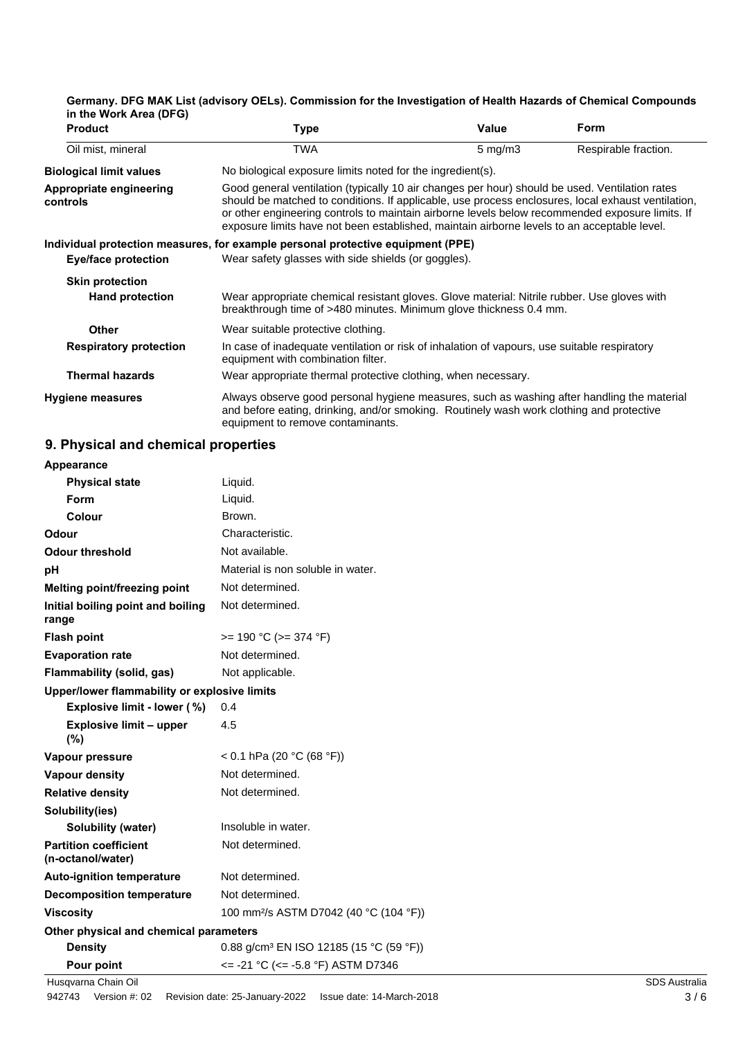| <b>Product</b>                      | Type                                                                                                                                                                                                                                                                                                                                                                                                   | Value              | Form                 |
|-------------------------------------|--------------------------------------------------------------------------------------------------------------------------------------------------------------------------------------------------------------------------------------------------------------------------------------------------------------------------------------------------------------------------------------------------------|--------------------|----------------------|
| Oil mist, mineral                   | TWA                                                                                                                                                                                                                                                                                                                                                                                                    | $5 \text{ mg/m}$ 3 | Respirable fraction. |
| <b>Biological limit values</b>      | No biological exposure limits noted for the ingredient(s).                                                                                                                                                                                                                                                                                                                                             |                    |                      |
| Appropriate engineering<br>controls | Good general ventilation (typically 10 air changes per hour) should be used. Ventilation rates<br>should be matched to conditions. If applicable, use process enclosures, local exhaust ventilation,<br>or other engineering controls to maintain airborne levels below recommended exposure limits. If<br>exposure limits have not been established, maintain airborne levels to an acceptable level. |                    |                      |
|                                     | Individual protection measures, for example personal protective equipment (PPE)                                                                                                                                                                                                                                                                                                                        |                    |                      |
| Eye/face protection                 | Wear safety glasses with side shields (or goggles).                                                                                                                                                                                                                                                                                                                                                    |                    |                      |
| <b>Skin protection</b>              |                                                                                                                                                                                                                                                                                                                                                                                                        |                    |                      |
| <b>Hand protection</b>              | Wear appropriate chemical resistant gloves. Glove material: Nitrile rubber. Use gloves with<br>breakthrough time of >480 minutes. Minimum glove thickness 0.4 mm.                                                                                                                                                                                                                                      |                    |                      |
| <b>Other</b>                        | Wear suitable protective clothing.                                                                                                                                                                                                                                                                                                                                                                     |                    |                      |
| <b>Respiratory protection</b>       | In case of inadequate ventilation or risk of inhalation of vapours, use suitable respiratory<br>equipment with combination filter.                                                                                                                                                                                                                                                                     |                    |                      |
| Thermal hazards                     | Wear appropriate thermal protective clothing, when necessary.                                                                                                                                                                                                                                                                                                                                          |                    |                      |
| <b>Hygiene measures</b>             | Always observe good personal hygiene measures, such as washing after handling the material<br>and before eating, drinking, and/or smoking. Routinely wash work clothing and protective<br>equipment to remove contaminants.                                                                                                                                                                            |                    |                      |

## **Germany. DFG MAK List (advisory OELs). Commission for the Investigation of Health Hazards of Chemical Compounds in the Work Area (DFG)**

## **9. Physical and chemical properties**

| Appearance                                        |                                                        |                      |
|---------------------------------------------------|--------------------------------------------------------|----------------------|
| <b>Physical state</b>                             | Liquid.                                                |                      |
| Form                                              | Liquid.                                                |                      |
| Colour                                            | Brown.                                                 |                      |
| Odour                                             | Characteristic.                                        |                      |
| <b>Odour threshold</b>                            | Not available.                                         |                      |
| pH                                                | Material is non soluble in water.                      |                      |
| Melting point/freezing point                      | Not determined.                                        |                      |
| Initial boiling point and boiling<br>range        | Not determined.                                        |                      |
| <b>Flash point</b>                                | $>= 190 °C (= 374 °F)$                                 |                      |
| <b>Evaporation rate</b>                           | Not determined.                                        |                      |
| Flammability (solid, gas)                         | Not applicable.                                        |                      |
| Upper/lower flammability or explosive limits      |                                                        |                      |
| Explosive limit - lower (%)                       | 0.4                                                    |                      |
| <b>Explosive limit - upper</b><br>(%)             | 4.5                                                    |                      |
| Vapour pressure                                   | < 0.1 hPa (20 °C (68 °F))                              |                      |
| <b>Vapour density</b>                             | Not determined.                                        |                      |
| <b>Relative density</b>                           | Not determined.                                        |                      |
| Solubility(ies)                                   |                                                        |                      |
| Solubility (water)                                | Insoluble in water.                                    |                      |
| <b>Partition coefficient</b><br>(n-octanol/water) | Not determined.                                        |                      |
| <b>Auto-ignition temperature</b>                  | Not determined.                                        |                      |
| <b>Decomposition temperature</b>                  | Not determined.                                        |                      |
| <b>Viscosity</b>                                  | 100 mm <sup>2</sup> /s ASTM D7042 (40 °C (104 °F))     |                      |
| Other physical and chemical parameters            |                                                        |                      |
| <b>Density</b>                                    | 0.88 g/cm <sup>3</sup> EN ISO 12185 (15 °C (59 °F))    |                      |
| Pour point                                        | $\epsilon$ = -21 °C ( $\epsilon$ = -5.8 °F) ASTM D7346 |                      |
| Husqvarna Chain Oil                               |                                                        | <b>SDS Australia</b> |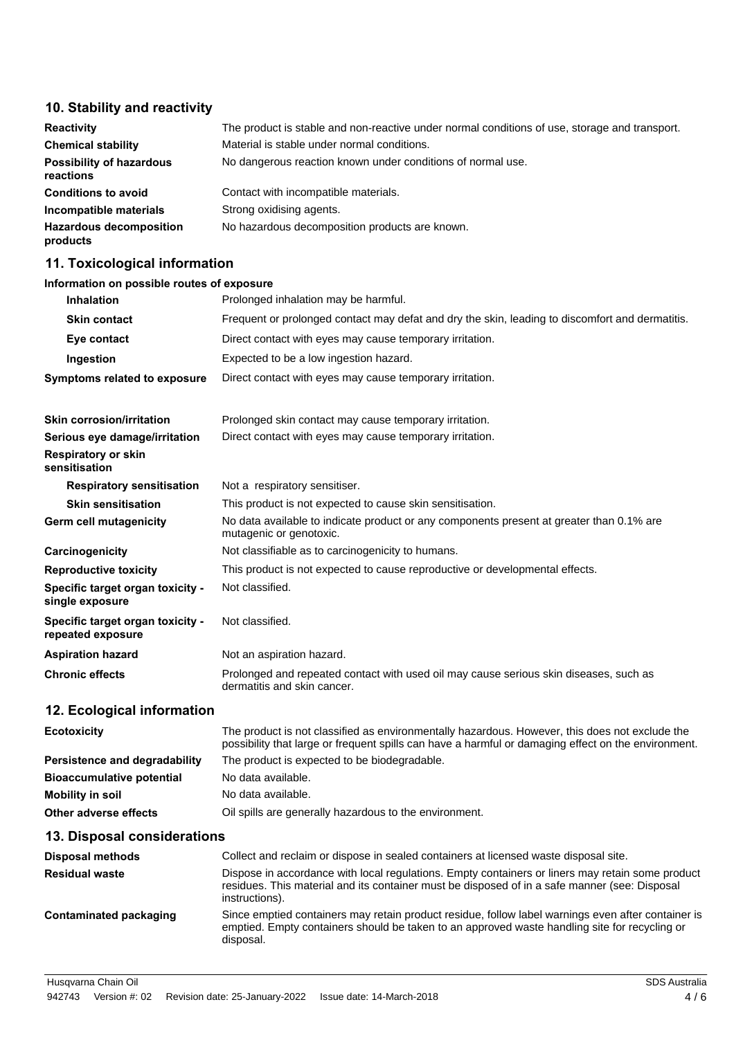## **10. Stability and reactivity**

| <b>Reactivity</b>                            | The product is stable and non-reactive under normal conditions of use, storage and transport. |
|----------------------------------------------|-----------------------------------------------------------------------------------------------|
| <b>Chemical stability</b>                    | Material is stable under normal conditions.                                                   |
| <b>Possibility of hazardous</b><br>reactions | No dangerous reaction known under conditions of normal use.                                   |
| <b>Conditions to avoid</b>                   | Contact with incompatible materials.                                                          |
| Incompatible materials                       | Strong oxidising agents.                                                                      |
| <b>Hazardous decomposition</b><br>products   | No hazardous decomposition products are known.                                                |

## **11. Toxicological information**

## **Information on possible routes of exposure**

| <b>Inhalation</b>                                     | Prolonged inhalation may be harmful.                                                                                                                                                                                |
|-------------------------------------------------------|---------------------------------------------------------------------------------------------------------------------------------------------------------------------------------------------------------------------|
| <b>Skin contact</b>                                   | Frequent or prolonged contact may defat and dry the skin, leading to discomfort and dermatitis.                                                                                                                     |
| Eye contact                                           | Direct contact with eyes may cause temporary irritation.                                                                                                                                                            |
| Ingestion                                             | Expected to be a low ingestion hazard.                                                                                                                                                                              |
| <b>Symptoms related to exposure</b>                   | Direct contact with eyes may cause temporary irritation.                                                                                                                                                            |
| <b>Skin corrosion/irritation</b>                      | Prolonged skin contact may cause temporary irritation.                                                                                                                                                              |
| Serious eye damage/irritation                         | Direct contact with eyes may cause temporary irritation.                                                                                                                                                            |
| <b>Respiratory or skin</b><br>sensitisation           |                                                                                                                                                                                                                     |
| <b>Respiratory sensitisation</b>                      | Not a respiratory sensitiser.                                                                                                                                                                                       |
| <b>Skin sensitisation</b>                             | This product is not expected to cause skin sensitisation.                                                                                                                                                           |
| Germ cell mutagenicity                                | No data available to indicate product or any components present at greater than 0.1% are<br>mutagenic or genotoxic.                                                                                                 |
| Carcinogenicity                                       | Not classifiable as to carcinogenicity to humans.                                                                                                                                                                   |
| <b>Reproductive toxicity</b>                          | This product is not expected to cause reproductive or developmental effects.                                                                                                                                        |
| Specific target organ toxicity -<br>single exposure   | Not classified.                                                                                                                                                                                                     |
| Specific target organ toxicity -<br>repeated exposure | Not classified.                                                                                                                                                                                                     |
| <b>Aspiration hazard</b>                              | Not an aspiration hazard.                                                                                                                                                                                           |
| <b>Chronic effects</b>                                | Prolonged and repeated contact with used oil may cause serious skin diseases, such as<br>dermatitis and skin cancer.                                                                                                |
| 12. Ecological information                            |                                                                                                                                                                                                                     |
| <b>Ecotoxicity</b>                                    | The product is not classified as environmentally hazardous. However, this does not exclude the<br>possibility that large or frequent spills can have a harmful or damaging effect on the environment.               |
| <b>Persistence and degradability</b>                  | The product is expected to be biodegradable.                                                                                                                                                                        |
| <b>Bioaccumulative potential</b>                      | No data available.                                                                                                                                                                                                  |
| <b>Mobility in soil</b>                               | No data available.                                                                                                                                                                                                  |
| <b>Other adverse effects</b>                          | Oil spills are generally hazardous to the environment.                                                                                                                                                              |
| 13. Disposal considerations                           |                                                                                                                                                                                                                     |
| <b>Disposal methods</b>                               | Collect and reclaim or dispose in sealed containers at licensed waste disposal site.                                                                                                                                |
| <b>Residual waste</b>                                 | Dispose in accordance with local regulations. Empty containers or liners may retain some product<br>residues. This material and its container must be disposed of in a safe manner (see: Disposal<br>instructions). |
| <b>Contaminated packaging</b>                         | Since emptied containers may retain product residue, follow label warnings even after container is<br>emptied. Empty containers should be taken to an approved waste handling site for recycling or<br>disposal.    |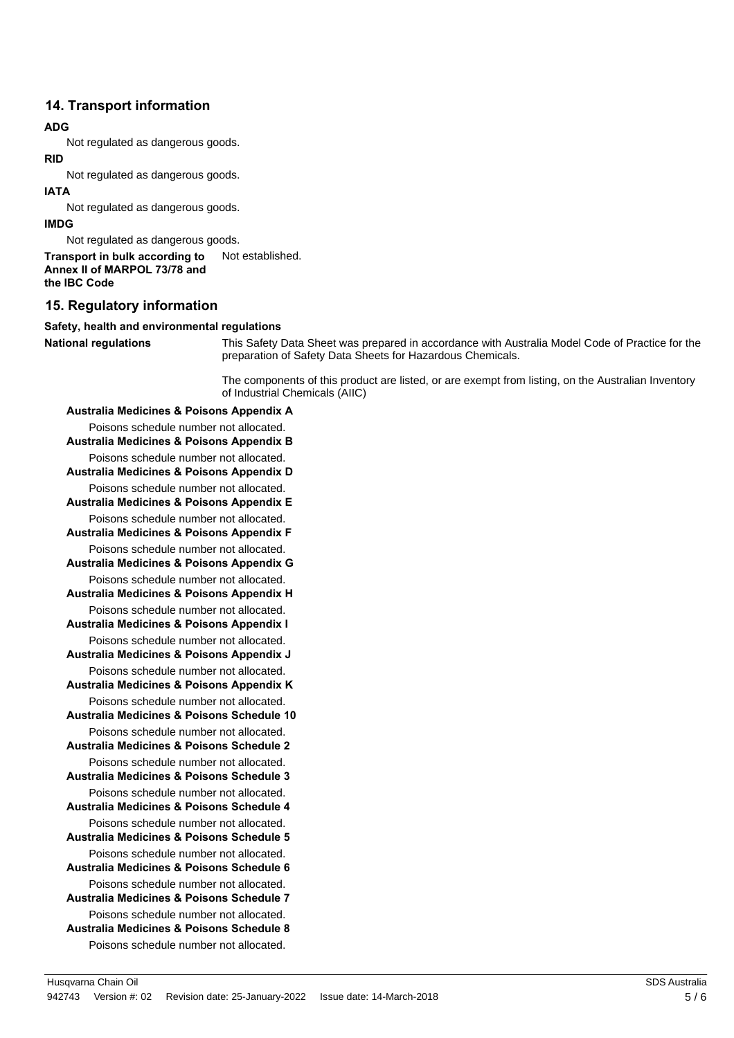## **14. Transport information**

#### **ADG**

Not regulated as dangerous goods.

#### **RID**

Not regulated as dangerous goods.

#### **IATA**

Not regulated as dangerous goods.

#### **IMDG**

Not regulated as dangerous goods.

```
Transport in bulk according to Not established.
Annex II of MARPOL 73/78 and
the IBC Code
```
## **15. Regulatory information**

#### **Safety, health and environmental regulations**

**National regulations**

This Safety Data Sheet was prepared in accordance with Australia Model Code of Practice for the preparation of Safety Data Sheets for Hazardous Chemicals.

The components of this product are listed, or are exempt from listing, on the Australian Inventory of Industrial Chemicals (AIIC)

**Australia Medicines & Poisons Appendix A** Poisons schedule number not allocated. **Australia Medicines & Poisons Appendix B** Poisons schedule number not allocated. **Australia Medicines & Poisons Appendix D** Poisons schedule number not allocated. **Australia Medicines & Poisons Appendix E** Poisons schedule number not allocated. **Australia Medicines & Poisons Appendix F** Poisons schedule number not allocated. **Australia Medicines & Poisons Appendix G** Poisons schedule number not allocated. **Australia Medicines & Poisons Appendix H** Poisons schedule number not allocated. **Australia Medicines & Poisons Appendix I** Poisons schedule number not allocated. **Australia Medicines & Poisons Appendix J** Poisons schedule number not allocated. **Australia Medicines & Poisons Appendix K** Poisons schedule number not allocated. **Australia Medicines & Poisons Schedule 10** Poisons schedule number not allocated. **Australia Medicines & Poisons Schedule 2** Poisons schedule number not allocated. **Australia Medicines & Poisons Schedule 3** Poisons schedule number not allocated. **Australia Medicines & Poisons Schedule 4** Poisons schedule number not allocated. **Australia Medicines & Poisons Schedule 5** Poisons schedule number not allocated. **Australia Medicines & Poisons Schedule 6** Poisons schedule number not allocated. **Australia Medicines & Poisons Schedule 7** Poisons schedule number not allocated. **Australia Medicines & Poisons Schedule 8** Poisons schedule number not allocated.